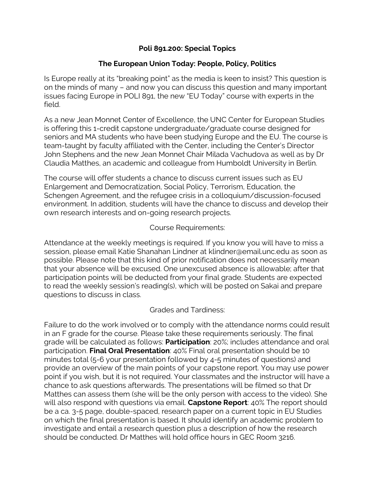## **Poli 891.200: Special Topics**

# **The European Union Today: People, Policy, Politics**

Is Europe really at its "breaking point" as the media is keen to insist? This question is on the minds of many – and now you can discuss this question and many important issues facing Europe in POLI 891, the new "EU Today" course with experts in the field.

As a new Jean Monnet Center of Excellence, the UNC Center for European Studies is offering this 1-credit capstone undergraduate/graduate course designed for seniors and MA students who have been studying Europe and the EU. The course is team-taught by faculty affiliated with the Center, including the Center's Director John Stephens and the new Jean Monnet Chair Milada Vachudova as well as by Dr Claudia Matthes, an academic and colleague from Humboldt University in Berlin.

The course will offer students a chance to discuss current issues such as EU Enlargement and Democratization, Social Policy, Terrorism, Education, the Schengen Agreement, and the refugee crisis in a colloquium/discussion-focused environment. In addition, students will have the chance to discuss and develop their own research interests and on-going research projects.

## Course Requirements:

Attendance at the weekly meetings is required. If you know you will have to miss a session, please email Katie Shanahan Lindner at klindner@email.unc.edu as soon as possible. Please note that this kind of prior notification does not necessarily mean that your absence will be excused. One unexcused absence is allowable; after that participation points will be deducted from your final grade. Students are expected to read the weekly session's reading(s), which will be posted on Sakai and prepare questions to discuss in class.

## Grades and Tardiness:

Failure to do the work involved or to comply with the attendance norms could result in an F grade for the course. Please take these requirements seriously. The final grade will be calculated as follows: **Participation**: 20%; includes attendance and oral participation. **Final Oral Presentation**: 40% Final oral presentation should be 10 minutes total (5-6 your presentation followed by 4-5 minutes of questions) and provide an overview of the main points of your capstone report. You may use power point if you wish, but it is not required. Your classmates and the instructor will have a chance to ask questions afterwards. The presentations will be filmed so that Dr Matthes can assess them (she will be the only person with access to the video). She will also respond with questions via email. **Capstone Report**: 40% The report should be a ca. 3-5 page, double-spaced, research paper on a current topic in EU Studies on which the final presentation is based. It should identify an academic problem to investigate and entail a research question plus a description of how the research should be conducted. Dr Matthes will hold office hours in GEC Room 3216.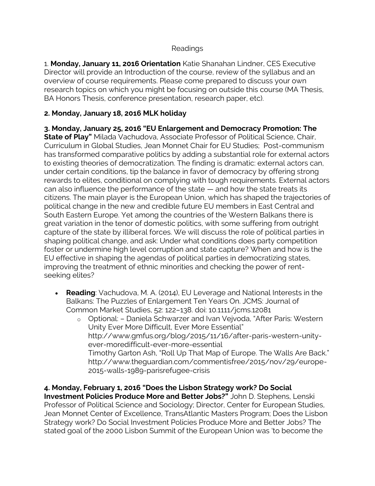#### Readings

1. **Monday, January 11, 2016 Orientation** Katie Shanahan Lindner, CES Executive Director will provide an Introduction of the course, review of the syllabus and an overview of course requirements. Please come prepared to discuss your own research topics on which you might be focusing on outside this course (MA Thesis, BA Honors Thesis, conference presentation, research paper, etc).

## **2. Monday, January 18, 2016 MLK holiday**

**3. Monday, January 25, 2016 "EU Enlargement and Democracy Promotion: The State of Play"** Milada Vachudova, Associate Professor of Political Science, Chair, Curriculum in Global Studies, Jean Monnet Chair for EU Studies; Post-communism has transformed comparative politics by adding a substantial role for external actors to existing theories of democratization. The finding is dramatic: external actors can, under certain conditions, tip the balance in favor of democracy by offering strong rewards to elites, conditional on complying with tough requirements. External actors can also influence the performance of the state — and how the state treats its citizens. The main player is the European Union, which has shaped the trajectories of political change in the new and credible future EU members in East Central and South Eastern Europe. Yet among the countries of the Western Balkans there is great variation in the tenor of domestic politics, with some suffering from outright capture of the state by illiberal forces. We will discuss the role of political parties in shaping political change, and ask: Under what conditions does party competition foster or undermine high level corruption and state capture? When and how is the EU effective in shaping the agendas of political parties in democratizing states, improving the treatment of ethnic minorities and checking the power of rentseeking elites?

- **Reading**: Vachudova, M. A. (2014), EU Leverage and National Interests in the Balkans: The Puzzles of Enlargement Ten Years On. JCMS: Journal of Common Market Studies, 52: 122–138. doi: 10.1111/jcms.12081
	- o Optional: Daniela Schwarzer and Ivan Vejvoda, "After Paris: Western Unity Ever More Difficult, Ever More Essential" http://www.gmfus.org/blog/2015/11/16/after-paris-western-unityever-moredifficult-ever-more-essential Timothy Garton Ash, "Roll Up That Map of Europe. The Walls Are Back." http://www.theguardian.com/commentisfree/2015/nov/29/europe-2015-walls-1989-parisrefugee-crisis

**4. Monday, February 1, 2016 "Does the Lisbon Strategy work? Do Social Investment Policies Produce More and Better Jobs?"** John D. Stephens, Lenski Professor of Political Science and Sociology; Director, Center for European Studies, Jean Monnet Center of Excellence, TransAtlantic Masters Program; Does the Lisbon Strategy work? Do Social Investment Policies Produce More and Better Jobs? The stated goal of the 2000 Lisbon Summit of the European Union was 'to become the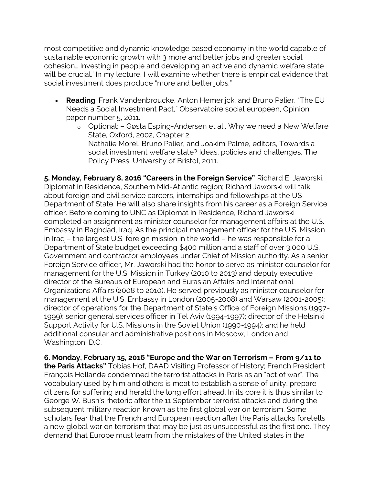most competitive and dynamic knowledge based economy in the world capable of sustainable economic growth with 3 more and better jobs and greater social cohesion… Investing in people and developing an active and dynamic welfare state will be crucial.' In my lecture, I will examine whether there is empirical evidence that social investment does produce "more and better jobs."

- **Reading**: Frank Vandenbroucke, Anton Hemerijck, and Bruno Palier, "The EU Needs a Social Investment Pact," Observatoire social européen, Opinion paper number 5, 2011.
	- o Optional: Gøsta Esping-Andersen et al., Why we need a New Welfare State, Oxford, 2002, Chapter 2 Nathalie Morel, Bruno Palier, and Joakim Palme, editors, Towards a social investment welfare state? Ideas, policies and challenges, The Policy Press, University of Bristol, 2011.

**5. Monday, February 8, 2016 "Careers in the Foreign Service"** Richard E. Jaworski, Diplomat in Residence, Southern Mid-Atlantic region; Richard Jaworski will talk about foreign and civil service careers, internships and fellowships at the US Department of State. He will also share insights from his career as a Foreign Service officer. Before coming to UNC as Diplomat in Residence, Richard Jaworski completed an assignment as minister counselor for management affairs at the U.S. Embassy in Baghdad, Iraq. As the principal management officer for the U.S. Mission in Iraq – the largest U.S. foreign mission in the world – he was responsible for a Department of State budget exceeding \$400 million and a staff of over 3,000 U.S. Government and contractor employees under Chief of Mission authority. As a senior Foreign Service officer, Mr. Jaworski had the honor to serve as minister counselor for management for the U.S. Mission in Turkey (2010 to 2013) and deputy executive director of the Bureaus of European and Eurasian Affairs and International Organizations Affairs (2008 to 2010). He served previously as minister counselor for management at the U.S. Embassy in London (2005-2008) and Warsaw (2001-2005); director of operations for the Department of State's Office of Foreign Missions (1997- 1999); senior general services officer in Tel Aviv (1994-1997); director of the Helsinki Support Activity for U.S. Missions in the Soviet Union (1990-1994); and he held additional consular and administrative positions in Moscow, London and Washington, D.C.

**6. Monday, February 15, 2016 "Europe and the War on Terrorism – From 9/11 to the Paris Attacks"** Tobias Hof, DAAD Visiting Professor of History; French President François Hollande condemned the terrorist attacks in Paris as an "act of war". The vocabulary used by him and others is meat to establish a sense of unity, prepare citizens for suffering and herald the long effort ahead. In its core it is thus similar to George W. Bush's rhetoric after the 11 September terrorist attacks and during the subsequent military reaction known as the first global war on terrorism. Some scholars fear that the French and European reaction after the Paris attacks foretells a new global war on terrorism that may be just as unsuccessful as the first one. They demand that Europe must learn from the mistakes of the United states in the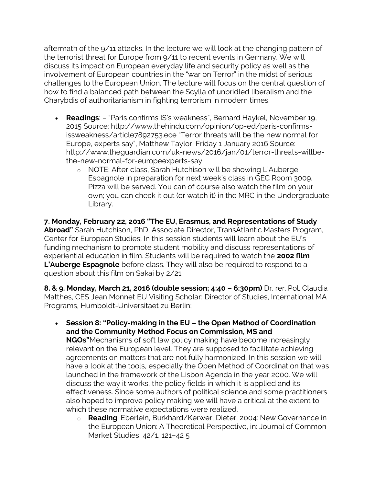aftermath of the 9/11 attacks. In the lecture we will look at the changing pattern of the terrorist threat for Europe from 9/11 to recent events in Germany. We will discuss its impact on European everyday life and security policy as well as the involvement of European countries in the "war on Terror" in the midst of serious challenges to the European Union. The lecture will focus on the central question of how to find a balanced path between the Scylla of unbridled liberalism and the Charybdis of authoritarianism in fighting terrorism in modern times.

- **Readings**: "Paris confirms IS's weakness", Bernard Haykel, November 19, 2015 Source: http://www.thehindu.com/opinion/op-ed/paris-confirmsissweakness/article7892753.ece "Terror threats will be the new normal for Europe, experts say", Matthew Taylor, Friday 1 January 2016 Source: http://www.theguardian.com/uk-news/2016/jan/01/terror-threats-willbethe-new-normal-for-europeexperts-say
	- o NOTE: After class, Sarah Hutchison will be showing L'Auberge Espagnole in preparation for next week's class in GEC Room 3009. Pizza will be served. You can of course also watch the film on your own; you can check it out (or watch it) in the MRC in the Undergraduate Library.

**7. Monday, February 22, 2016 "The EU, Erasmus, and Representations of Study Abroad"** Sarah Hutchison, PhD, Associate Director, TransAtlantic Masters Program, Center for European Studies; In this session students will learn about the EU's funding mechanism to promote student mobility and discuss representations of experiential education in film. Students will be required to watch the **2002 film L'Auberge Espagnole** before class. They will also be required to respond to a question about this film on Sakai by 2/21.

**8. & 9. Monday, March 21, 2016 (double session; 4:40 – 6:30pm)** Dr. rer. Pol. Claudia Matthes, CES Jean Monnet EU Visiting Scholar; Director of Studies, International MA Programs, Humboldt-Universitaet zu Berlin;

- **Session 8: "Policy-making in the EU – the Open Method of Coordination and the Community Method Focus on Commission, MS and NGOs"**Mechanisms of soft law policy making have become increasingly relevant on the European level. They are supposed to facilitate achieving agreements on matters that are not fully harmonized. In this session we will have a look at the tools, especially the Open Method of Coordination that was launched in the framework of the Lisbon Agenda in the year 2000. We will discuss the way it works, the policy fields in which it is applied and its effectiveness. Since some authors of political science and some practitioners also hoped to improve policy making we will have a critical at the extent to which these normative expectations were realized.
	- o **Reading**: Eberlein, Burkhard/Kerwer, Dieter, 2004: New Governance in the European Union: A Theoretical Perspective, in: Journal of Common Market Studies, 42/1, 121–42 5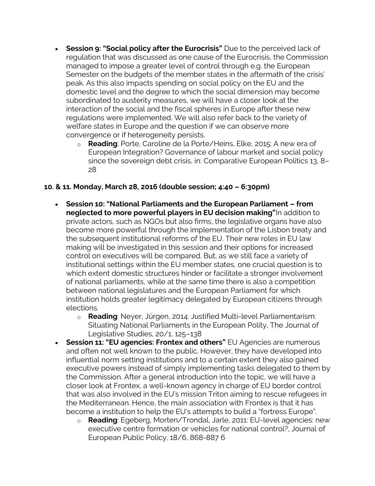- **Session 9: "Social policy after the Eurocrisis"** Due to the perceived lack of regulation that was discussed as one cause of the Eurocrisis, the Commission managed to impose a greater level of control through e.g. the European Semester on the budgets of the member states in the aftermath of the crisis' peak. As this also impacts spending on social policy on the EU and the domestic level and the degree to which the social dimension may become subordinated to austerity measures, we will have a closer look at the interaction of the social and the fiscal spheres in Europe after these new regulations were implemented. We will also refer back to the variety of welfare states in Europe and the question if we can observe more convergence or if heterogeneity persists.
	- o **Reading**: Porte, Caroline de la Porte/Heins, Elke, 2015: A new era of European Integration? Governance of labour market and social policy since the sovereign debt crisis, in: Comparative European Politics 13, 8– 28

## **10. & 11. Monday, March 28, 2016 (double session; 4:40 – 6:30pm)**

- **Session 10: "National Parliaments and the European Parliament – from neglected to more powerful players in EU decision making"**In addition to private actors, such as NGOs but also firms, the legislative organs have also become more powerful through the implementation of the Lisbon treaty and the subsequent institutional reforms of the EU. Their new roles in EU law making will be investigated in this session and their options for increased control on executives will be compared. But, as we still face a variety of institutional settings within the EU member states, one crucial question is to which extent domestic structures hinder or facilitate a stronger involvement of national parliaments, while at the same time there is also a competition between national legislatures and the European Parliament for which institution holds greater legitimacy delegated by European citizens through elections.
	- o **Reading**: Neyer, Jürgen, 2014: Justified Multi-level Parliamentarism: Situating National Parliaments in the European Polity, The Journal of Legislative Studies, 20/1, 125–138
- **Session 11: "EU agencies: Frontex and others"** EU Agencies are numerous and often not well known to the public. However, they have developed into influential norm setting institutions and to a certain extent they also gained executive powers instead of simply implementing tasks delegated to them by the Commission. After a general introduction into the topic, we will have a closer look at Frontex, a well-known agency in charge of EU border control that was also involved in the EU's mission Triton aiming to rescue refugees in the Mediterranean. Hence, the main association with Frontex is that it has become a institution to help the EU's attempts to build a "fortress Europe".
	- o **Reading**: Egeberg, Morten/Trondal, Jarle, 2011: EU-level agencies: new executive centre formation or vehicles for national control?, Journal of European Public Policy, 18/6, 868-887 6